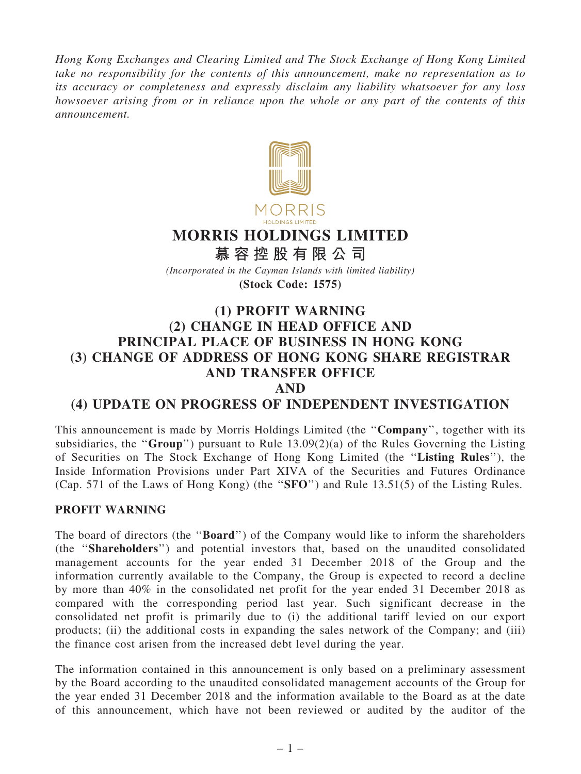Hong Kong Exchanges and Clearing Limited and The Stock Exchange of Hong Kong Limited take no responsibility for the contents of this announcement, make no representation as to its accuracy or completeness and expressly disclaim any liability whatsoever for any loss howsoever arising from or in reliance upon the whole or any part of the contents of this announcement.



# MORRIS HOLDINGS LIMITED

慕 容 控 股 有 限 公 司

(Incorporated in the Cayman Islands with limited liability)

(Stock Code: 1575)

## (1) PROFIT WARNING (2) CHANGE IN HEAD OFFICE AND PRINCIPAL PLACE OF BUSINESS IN HONG KONG (3) CHANGE OF ADDRESS OF HONG KONG SHARE REGISTRAR AND TRANSFER OFFICE

AND

### (4) UPDATE ON PROGRESS OF INDEPENDENT INVESTIGATION

This announcement is made by Morris Holdings Limited (the ''Company'', together with its subsidiaries, the "Group") pursuant to Rule  $13.09(2)(a)$  of the Rules Governing the Listing of Securities on The Stock Exchange of Hong Kong Limited (the ''Listing Rules''), the Inside Information Provisions under Part XIVA of the Securities and Futures Ordinance (Cap. 571 of the Laws of Hong Kong) (the ''SFO'') and Rule 13.51(5) of the Listing Rules.

#### PROFIT WARNING

The board of directors (the "**Board**") of the Company would like to inform the shareholders (the ''Shareholders'') and potential investors that, based on the unaudited consolidated management accounts for the year ended 31 December 2018 of the Group and the information currently available to the Company, the Group is expected to record a decline by more than 40% in the consolidated net profit for the year ended 31 December 2018 as compared with the corresponding period last year. Such significant decrease in the consolidated net profit is primarily due to (i) the additional tariff levied on our export products; (ii) the additional costs in expanding the sales network of the Company; and (iii) the finance cost arisen from the increased debt level during the year.

The information contained in this announcement is only based on a preliminary assessment by the Board according to the unaudited consolidated management accounts of the Group for the year ended 31 December 2018 and the information available to the Board as at the date of this announcement, which have not been reviewed or audited by the auditor of the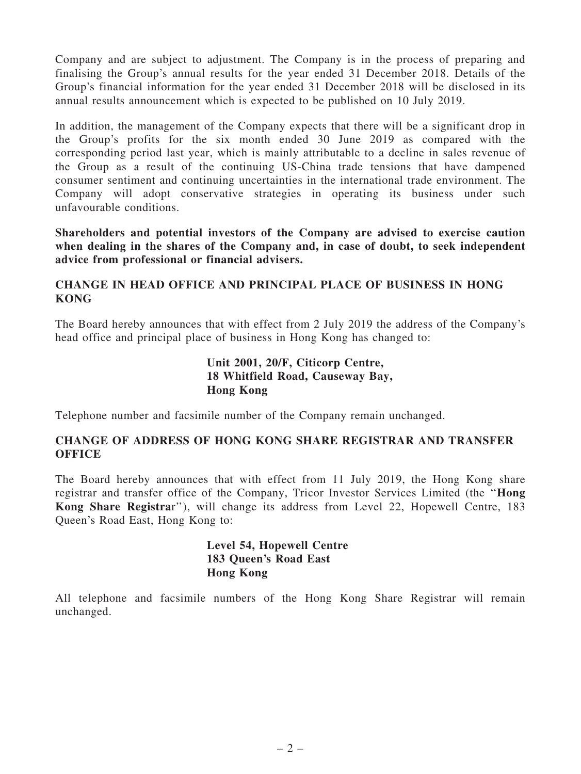Company and are subject to adjustment. The Company is in the process of preparing and finalising the Group's annual results for the year ended 31 December 2018. Details of the Group's financial information for the year ended 31 December 2018 will be disclosed in its annual results announcement which is expected to be published on 10 July 2019.

In addition, the management of the Company expects that there will be a significant drop in the Group's profits for the six month ended 30 June 2019 as compared with the corresponding period last year, which is mainly attributable to a decline in sales revenue of the Group as a result of the continuing US-China trade tensions that have dampened consumer sentiment and continuing uncertainties in the international trade environment. The Company will adopt conservative strategies in operating its business under such unfavourable conditions.

Shareholders and potential investors of the Company are advised to exercise caution when dealing in the shares of the Company and, in case of doubt, to seek independent advice from professional or financial advisers.

#### CHANGE IN HEAD OFFICE AND PRINCIPAL PLACE OF BUSINESS IN HONG KONG

The Board hereby announces that with effect from 2 July 2019 the address of the Company's head office and principal place of business in Hong Kong has changed to:

#### Unit 2001, 20/F, Citicorp Centre, 18 Whitfield Road, Causeway Bay, Hong Kong

Telephone number and facsimile number of the Company remain unchanged.

#### CHANGE OF ADDRESS OF HONG KONG SHARE REGISTRAR AND TRANSFER **OFFICE**

The Board hereby announces that with effect from 11 July 2019, the Hong Kong share registrar and transfer office of the Company, Tricor Investor Services Limited (the ''Hong Kong Share Registrar''), will change its address from Level 22, Hopewell Centre, 183 Queen's Road East, Hong Kong to:

#### Level 54, Hopewell Centre 183 Queen's Road East Hong Kong

All telephone and facsimile numbers of the Hong Kong Share Registrar will remain unchanged.